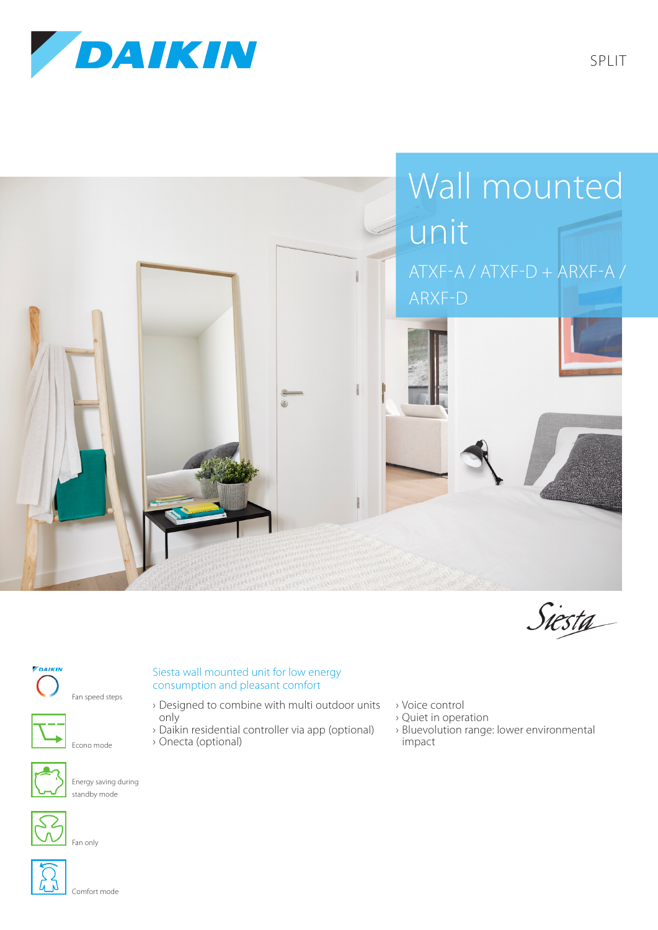





## *PDAIKIN*









Energy saving during standby mode



Fan only



Comfort mode

## Siesta wall mounted unit for low energy consumption and pleasant comfort

- › Designed to combine with multi outdoor units only
- › Daikin residential controller via app (optional) › Onecta (optional)
- › Voice control
- › Quiet in operation
- › Bluevolution range: lower environmental impact